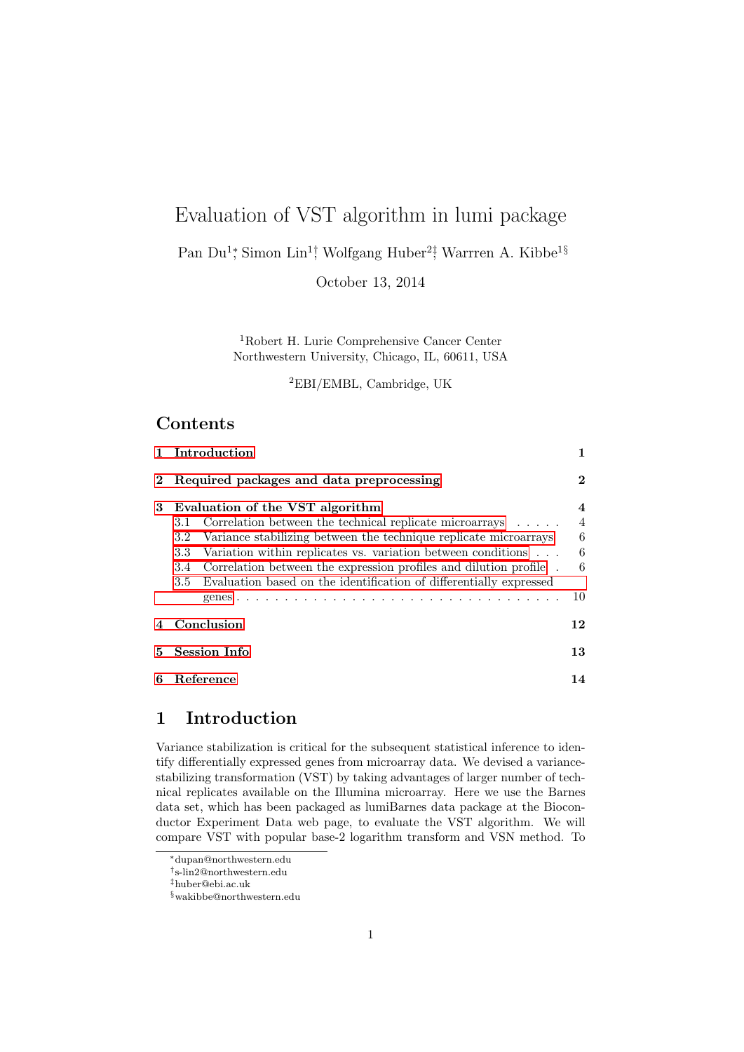# Evaluation of VST algorithm in lumi package

Pan Du<sup>1</sup><sup>\*</sup>, Simon Lin<sup>1</sup>† Wolfgang Huber<sup>2‡</sup>, Warrren A. Kibbe<sup>1§</sup>

October 13, 2014

<sup>1</sup>Robert H. Lurie Comprehensive Cancer Center Northwestern University, Chicago, IL, 60611, USA

<sup>2</sup>EBI/EMBL, Cambridge, UK

## Contents

| $\mathbf{1}$ | Introduction                                                                                                                                                                                                                                                                                                                                                                                                                | 1                                                     |
|--------------|-----------------------------------------------------------------------------------------------------------------------------------------------------------------------------------------------------------------------------------------------------------------------------------------------------------------------------------------------------------------------------------------------------------------------------|-------------------------------------------------------|
|              | Required packages and data preprocessing                                                                                                                                                                                                                                                                                                                                                                                    | $\mathbf 2$                                           |
| 3            | Evaluation of the VST algorithm<br>Correlation between the technical replicate microarrays $\ldots$ .<br>3.1<br>Variance stabilizing between the technique replicate microarrays<br>3.2<br>Variation within replicates vs. variation between conditions<br>3.3<br>Correlation between the expression profiles and dilution profile.<br>3.4<br>Evaluation based on the identification of differentially expressed<br>$3.5\,$ | $\overline{4}$<br>$\overline{4}$<br>6<br>6<br>6<br>10 |
|              | Conclusion                                                                                                                                                                                                                                                                                                                                                                                                                  | 12                                                    |
| 5.           | <b>Session Info</b>                                                                                                                                                                                                                                                                                                                                                                                                         | 13                                                    |
| 6            | Reference                                                                                                                                                                                                                                                                                                                                                                                                                   | 14                                                    |

## <span id="page-0-0"></span>1 Introduction

Variance stabilization is critical for the subsequent statistical inference to identify differentially expressed genes from microarray data. We devised a variancestabilizing transformation (VST) by taking advantages of larger number of technical replicates available on the Illumina microarray. Here we use the Barnes data set, which has been packaged as lumiBarnes data package at the Bioconductor Experiment Data web page, to evaluate the VST algorithm. We will compare VST with popular base-2 logarithm transform and VSN method. To

<sup>∗</sup>dupan@northwestern.edu

<sup>†</sup> s-lin2@northwestern.edu

<sup>‡</sup>huber@ebi.ac.uk

<sup>§</sup>wakibbe@northwestern.edu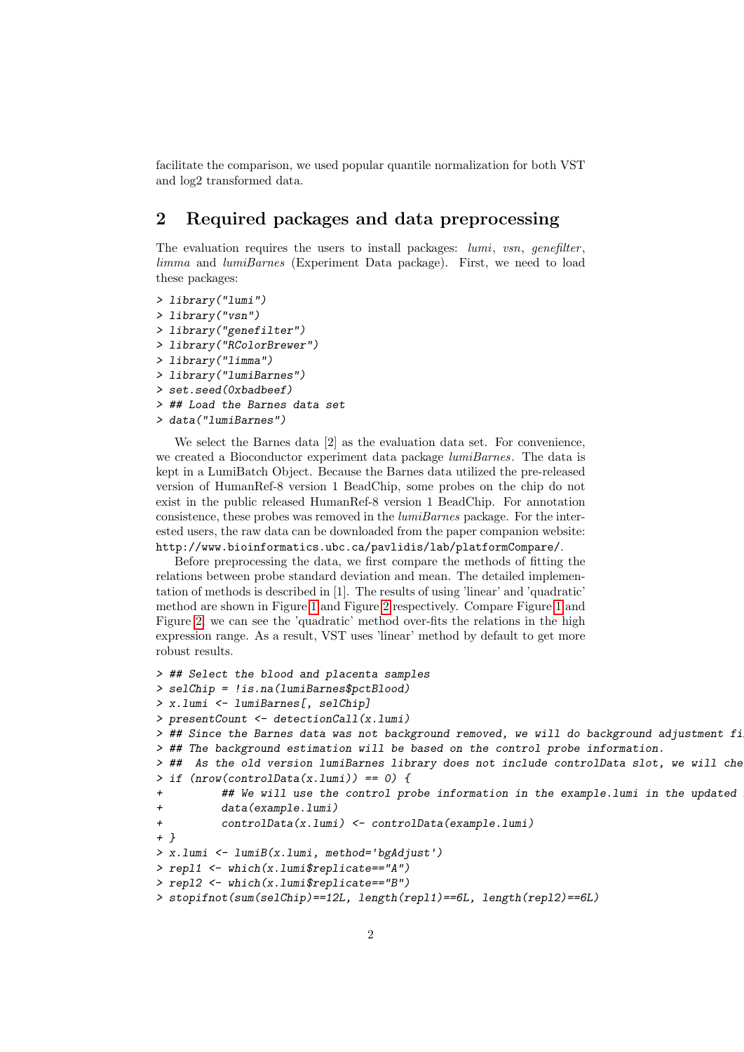facilitate the comparison, we used popular quantile normalization for both VST and log2 transformed data.

## <span id="page-1-0"></span>2 Required packages and data preprocessing

The evaluation requires the users to install packages:  $lumi$ , vsn, genefilter, limma and lumiBarnes (Experiment Data package). First, we need to load these packages:

```
> library("lumi")
> library("vsn")
> library("genefilter")
> library("RColorBrewer")
> library("limma")
> library("lumiBarnes")
> set.seed(0xbadbeef)
> ## Load the Barnes data set
> data("lumiBarnes")
```
We select the Barnes data [2] as the evaluation data set. For convenience, we created a Bioconductor experiment data package lumiBarnes. The data is kept in a LumiBatch Object. Because the Barnes data utilized the pre-released version of HumanRef-8 version 1 BeadChip, some probes on the chip do not exist in the public released HumanRef-8 version 1 BeadChip. For annotation consistence, these probes was removed in the  $lumiBarnes$  package. For the interested users, the raw data can be downloaded from the paper companion website: http://www.bioinformatics.ubc.ca/pavlidis/lab/platformCompare/.

Before preprocessing the data, we first compare the methods of fitting the relations between probe standard deviation and mean. The detailed implementation of methods is described in [1]. The results of using 'linear' and 'quadratic' method are shown in Figure [1](#page-2-0) and Figure [2](#page-2-1) respectively. Compare Figure [1](#page-2-0) and Figure [2,](#page-2-1) we can see the 'quadratic' method over-fits the relations in the high expression range. As a result, VST uses 'linear' method by default to get more robust results.

```
> ## Select the blood and placenta samples
> selChip = !is.na(lumiBarnes$pctBlood)
> x.lumi <- lumiBarnes[, selChip]
> presentCount <- detectionCall(x.lumi)
> ## Since the Barnes data was not background removed, we will do background adjustment fi
> ## The background estimation will be based on the control probe information.
> ## As the old version lumiBarnes library does not include controlData slot, we will che
> if (nrow(controlData(x.lumi)) == 0) {
+ ## We will use the control probe information in the example.lumi in the updated
+ data(example.lumi)
+ controlData(x.lumi) <- controlData(example.lumi)
+ }
> x.lumi <- lumiB(x.lumi, method='bgAdjust')
> repl1 <- which(x.lumi$replicate=="A")
> repl2 <- which(x.lumi$replicate=="B")
> stopifnot(sum(selChip)==12L, length(repl1)==6L, length(repl2)==6L)
```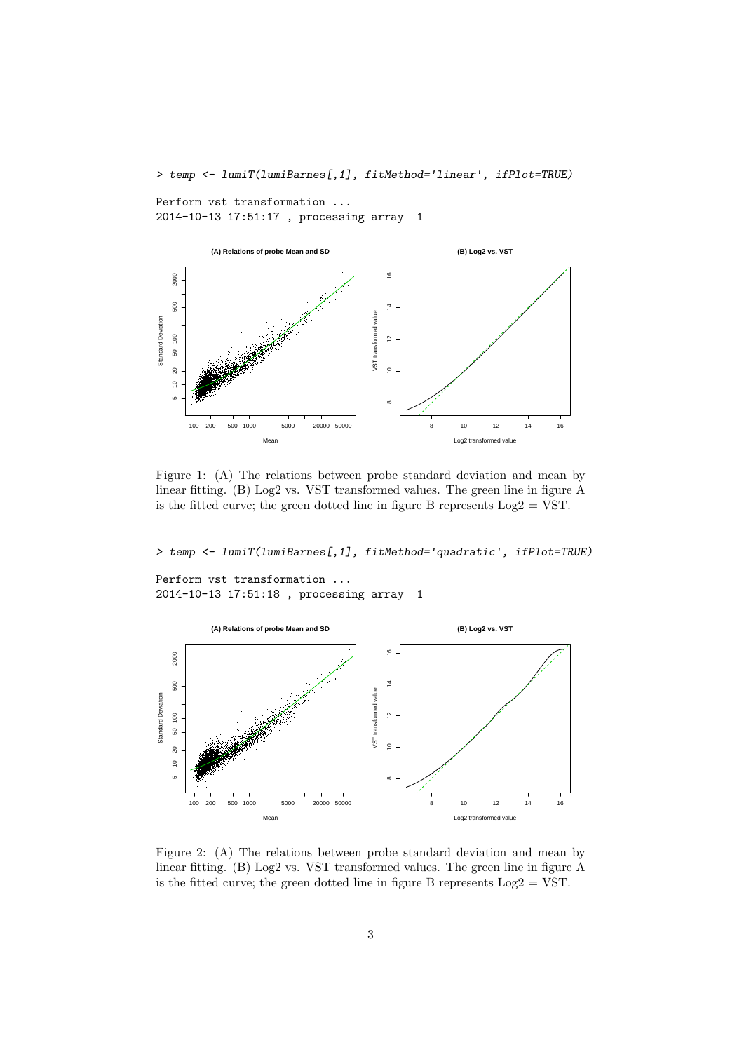> temp <- lumiT(lumiBarnes[,1], fitMethod='linear', ifPlot=TRUE)

Perform vst transformation ... 2014-10-13 17:51:17 , processing array 1



<span id="page-2-0"></span>Figure 1: (A) The relations between probe standard deviation and mean by linear fitting. (B) Log2 vs. VST transformed values. The green line in figure A is the fitted curve; the green dotted line in figure B represents  $Log2 = VST$ .

> temp <- lumiT(lumiBarnes[,1], fitMethod='quadratic', ifPlot=TRUE)

```
Perform vst transformation ...
2014-10-13 17:51:18 , processing array 1
```


<span id="page-2-1"></span>Figure 2: (A) The relations between probe standard deviation and mean by linear fitting. (B) Log2 vs. VST transformed values. The green line in figure A is the fitted curve; the green dotted line in figure B represents  $Log2 = VST$ .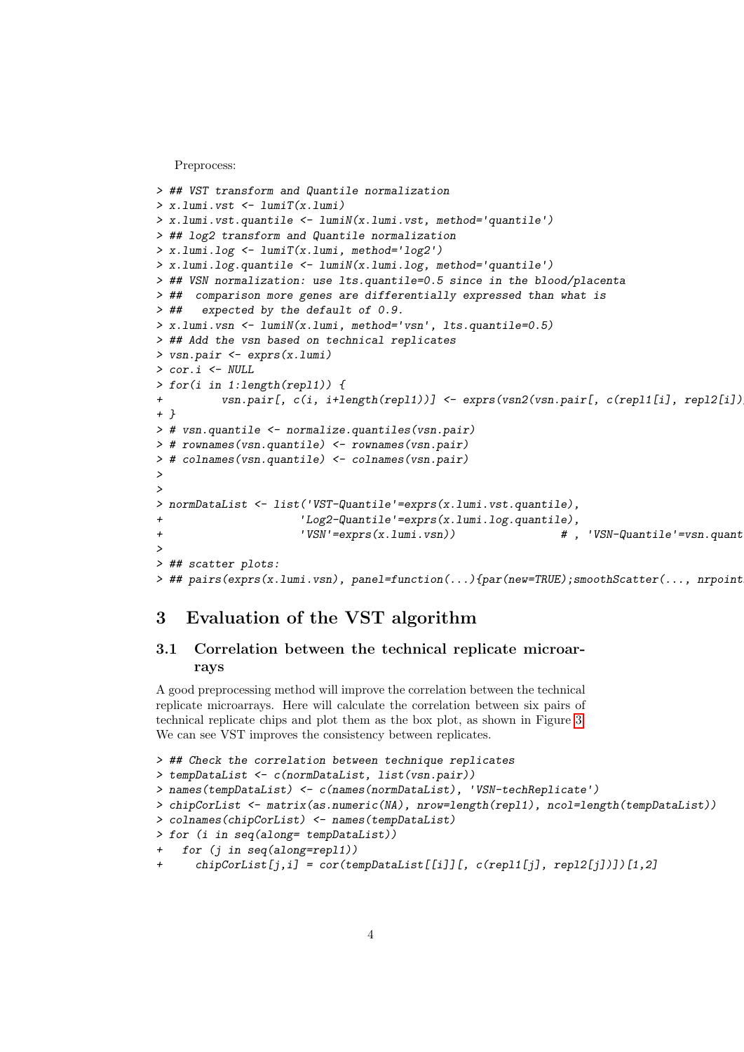Preprocess:

```
> ## VST transform and Quantile normalization
> x.lumi.vst <- lumiT(x.lumi)
> x.lumi.vst.quantile <- lumiN(x.lumi.vst, method='quantile')
> ## log2 transform and Quantile normalization
> x.lumi.log <- lumiT(x.lumi, method='log2')
> x.lumi.log.quantile <- lumiN(x.lumi.log, method='quantile')
> ## VSN normalization: use lts.quantile=0.5 since in the blood/placenta
> ## comparison more genes are differentially expressed than what is
> ## expected by the default of 0.9.
> x.lumi.vsn <- lumiN(x.lumi, method='vsn', lts.quantile=0.5)
> ## Add the vsn based on technical replicates
> vsn.pair <- exprs(x.lumi)
> cor.i <- NULL
> for(i in 1:length(repl1)) {
+ vsn.pair[, c(i, i+length(repl1))] <- exprs(vsn2(vsn.pair[, c(repl1[i], repl2[i])
+ }
> # vsn.quantile <- normalize.quantiles(vsn.pair)
> # rownames(vsn.quantile) <- rownames(vsn.pair)
> # colnames(vsn.quantile) <- colnames(vsn.pair)
>
>
> normDataList <- list('VST-Quantile'=exprs(x.lumi.vst.quantile),
                      'Log2-Quantile'=exprs(x.lumi.log.quantile),
+ 'VSN'=exprs(x.lumi.vsn)) # , 'VSN-Quantile'=vsn.quantile)
\rightarrow> ## scatter plots:
> ## pairs(exprs(x.lumi.vsn), panel=function(...){par(new=TRUE);smoothScatter(..., nrpoint
```
## <span id="page-3-0"></span>3 Evaluation of the VST algorithm

#### <span id="page-3-1"></span>3.1 Correlation between the technical replicate microarrays

A good preprocessing method will improve the correlation between the technical replicate microarrays. Here will calculate the correlation between six pairs of technical replicate chips and plot them as the box plot, as shown in Figure [3.](#page-4-0) We can see VST improves the consistency between replicates.

```
> ## Check the correlation between technique replicates
> tempDataList <- c(normDataList, list(vsn.pair))
> names(tempDataList) <- c(names(normDataList), 'VSN-techReplicate')
> chipCorList <- matrix(as.numeric(NA), nrow=length(repl1), ncol=length(tempDataList))
> colnames(chipCorList) <- names(tempDataList)
> for (i in seq(along= tempDataList))
+ for (j in seq(along=repl1))
     chipCorList[j,i] = cor(templataList[[i]][, c(rep11[j], rep12[j]))[1,2]
```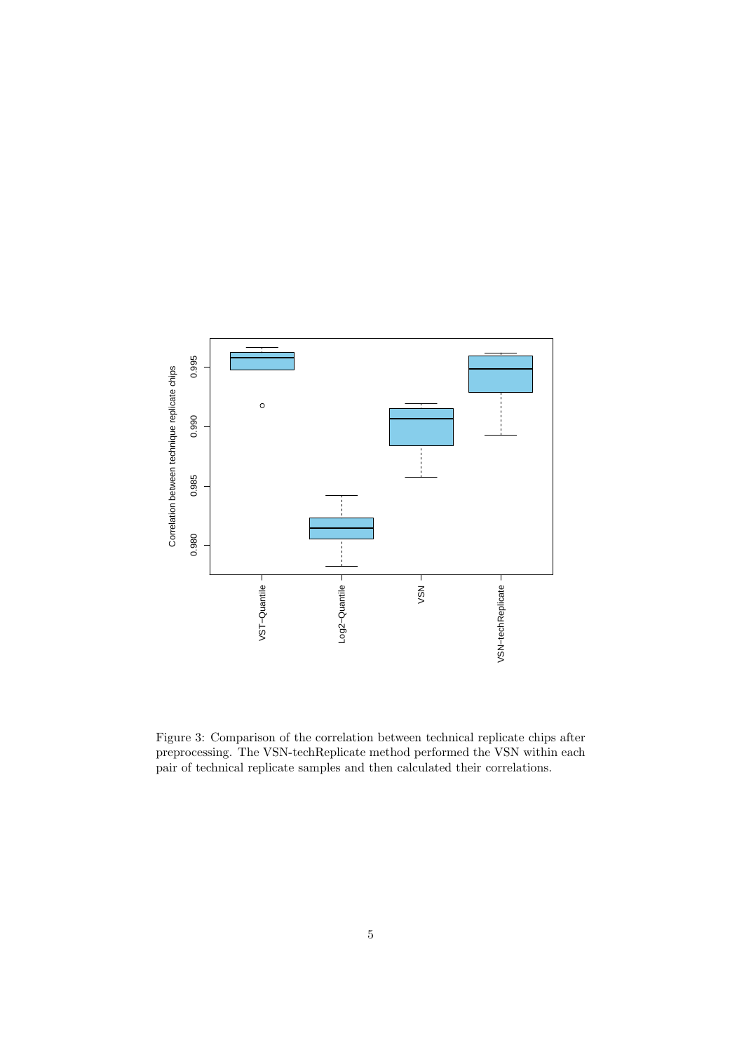

<span id="page-4-0"></span>Figure 3: Comparison of the correlation between technical replicate chips after preprocessing. The VSN-techReplicate method performed the VSN within each pair of technical replicate samples and then calculated their correlations.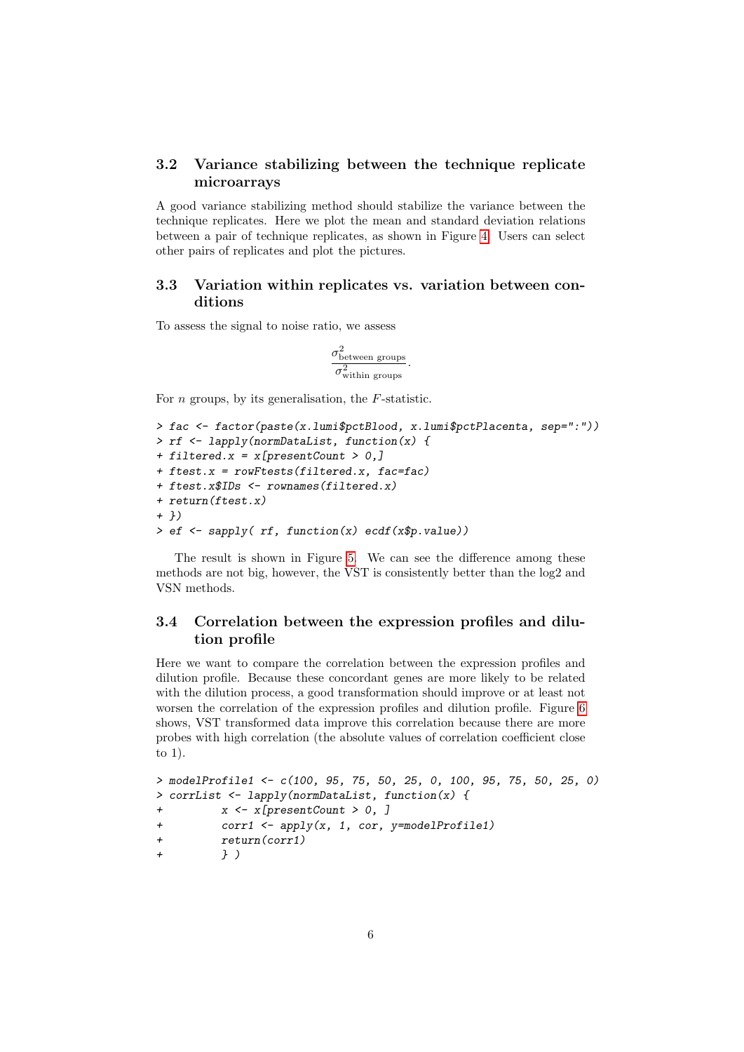#### <span id="page-5-0"></span>3.2 Variance stabilizing between the technique replicate microarrays

A good variance stabilizing method should stabilize the variance between the technique replicates. Here we plot the mean and standard deviation relations between a pair of technique replicates, as shown in Figure [4.](#page-6-0) Users can select other pairs of replicates and plot the pictures.

#### <span id="page-5-1"></span>3.3 Variation within replicates vs. variation between conditions

To assess the signal to noise ratio, we assess

$$
\frac{\sigma_{\rm between~groups}^2}{\sigma_{\rm within~groups}^2}.
$$

For  $n$  groups, by its generalisation, the  $F$ -statistic.

```
> fac <- factor(paste(x.lumi$pctBlood, x.lumi$pctPlacenta, sep=":"))
> rf <- lapply(normDataList, function(x) {
+ filtered.x = x[presentCount > 0,]
+ ftest.x = rowFtests(filtered.x, fac=fac)
+ ftest.x$IDs <- rownames(filtered.x)
+ return(ftest.x)
+ })
> ef \leq sapply( rf, function(x) ecdf(x$p.value))
```
The result is shown in Figure [5.](#page-7-0) We can see the difference among these methods are not big, however, the VST is consistently better than the log2 and VSN methods.

#### <span id="page-5-2"></span>3.4 Correlation between the expression profiles and dilution profile

Here we want to compare the correlation between the expression profiles and dilution profile. Because these concordant genes are more likely to be related with the dilution process, a good transformation should improve or at least not worsen the correlation of the expression profiles and dilution profile. Figure [6](#page-8-0) shows, VST transformed data improve this correlation because there are more probes with high correlation (the absolute values of correlation coefficient close to 1).

```
> modelProfile1 <- c(100, 95, 75, 50, 25, 0, 100, 95, 75, 50, 25, 0)
> corrList <- lapply(normDataList, function(x) {
+ x <- x[presentCount > 0, ]
+ corr1 <- apply(x, 1, cor, y=modelProfile1)
+ return(corr1)
+ } )
```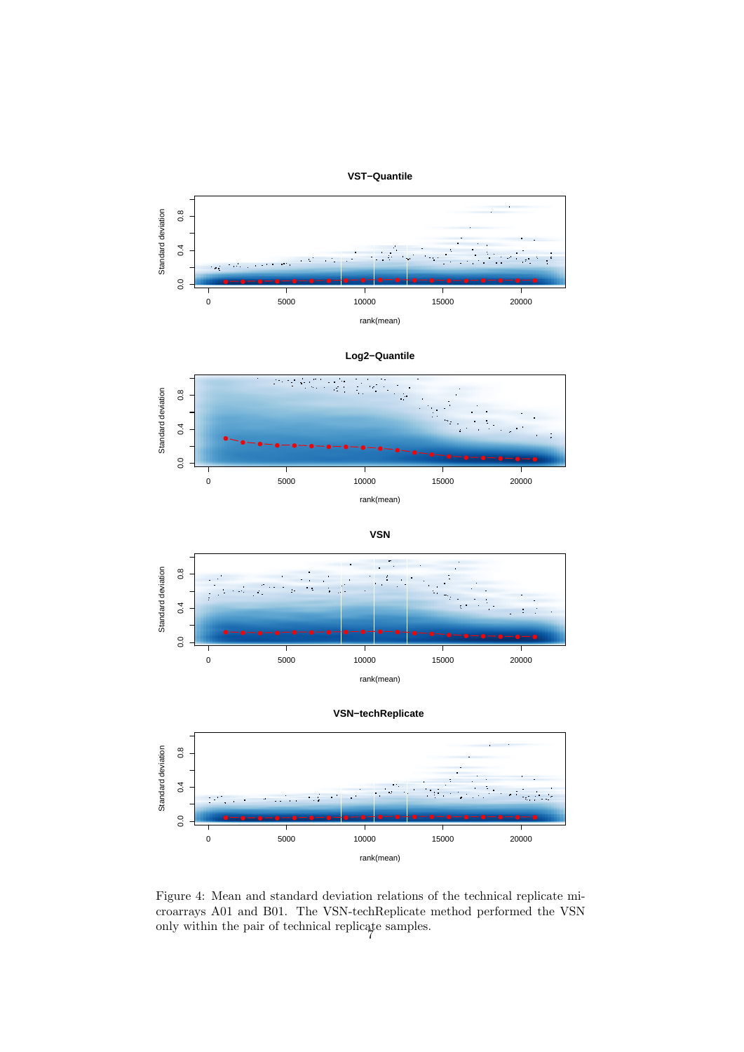



$$
\mathsf{VSN}
$$





<span id="page-6-0"></span>Figure 4: Mean and standard deviation relations of the technical replicate microarrays A01 and B01. The VSN-techReplicate method performed the VSN only within the pair of technical replicate samples. 7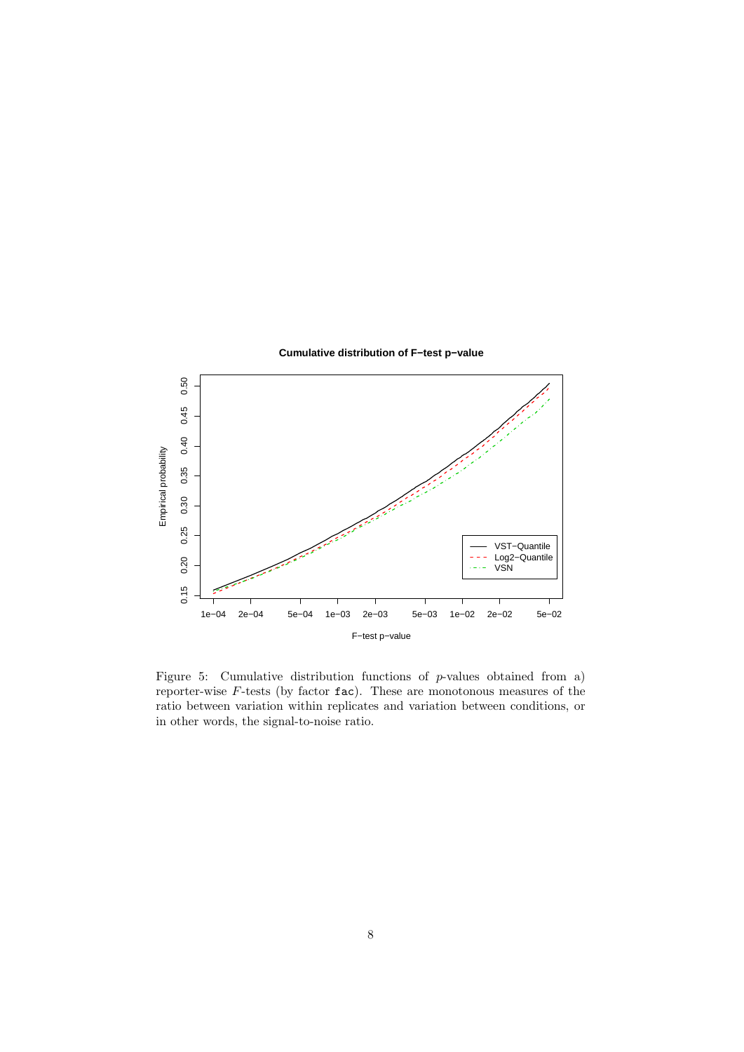

<span id="page-7-0"></span>Figure 5: Cumulative distribution functions of  $p$ -values obtained from a) reporter-wise  $F$ -tests (by factor  $fac$ ). These are monotonous measures of the ratio between variation within replicates and variation between conditions, or in other words, the signal-to-noise ratio.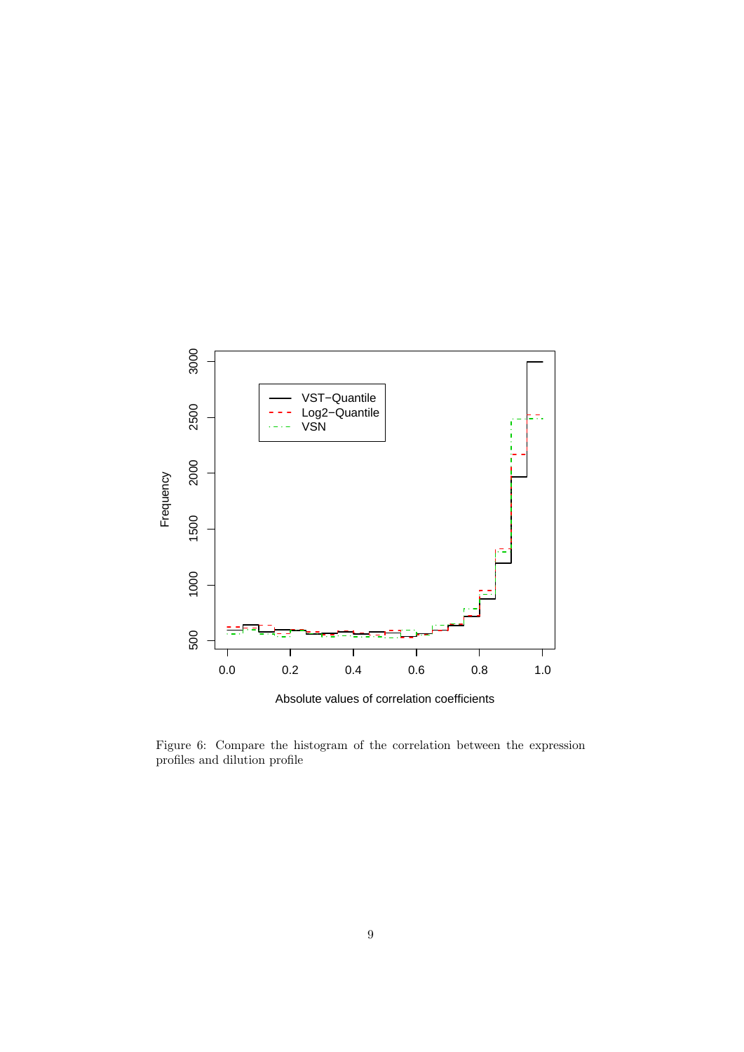

Absolute values of correlation coefficients

<span id="page-8-0"></span>Figure 6: Compare the histogram of the correlation between the expression profiles and dilution profile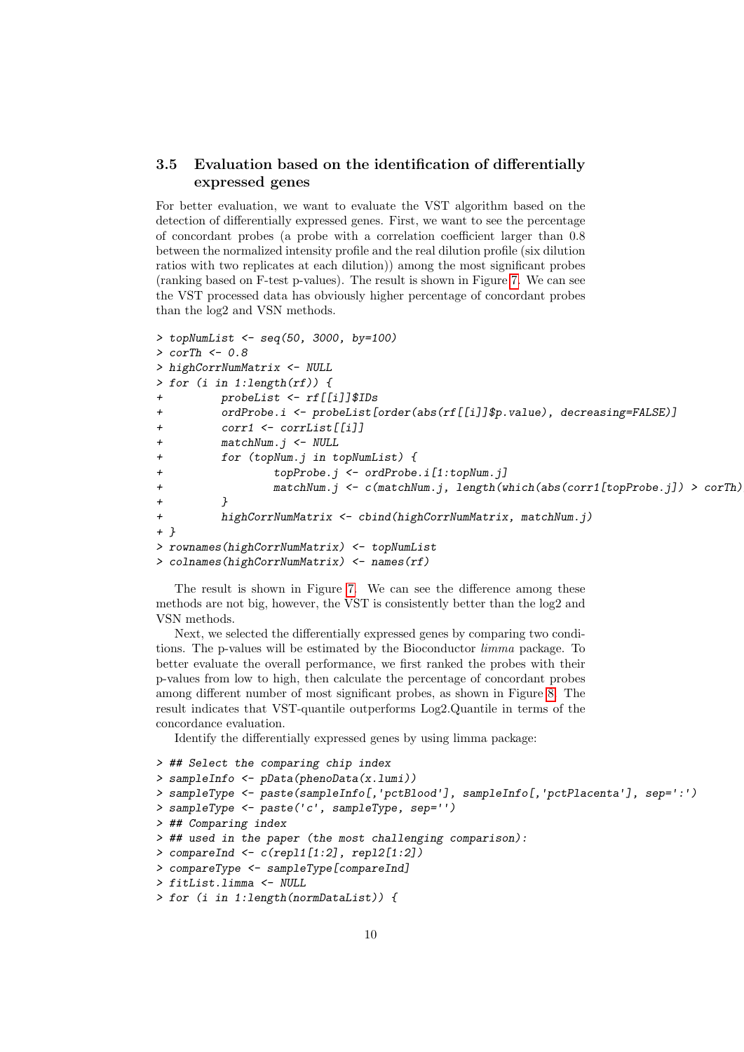#### <span id="page-9-0"></span>3.5 Evaluation based on the identification of differentially expressed genes

For better evaluation, we want to evaluate the VST algorithm based on the detection of differentially expressed genes. First, we want to see the percentage of concordant probes (a probe with a correlation coefficient larger than 0.8 between the normalized intensity profile and the real dilution profile (six dilution ratios with two replicates at each dilution)) among the most significant probes (ranking based on F-test p-values). The result is shown in Figure [7.](#page-10-0) We can see the VST processed data has obviously higher percentage of concordant probes than the log2 and VSN methods.

```
> topNumList <- seq(50, 3000, by=100)
> corTh <-0.8> highCorrNumMatrix <- NULL
> for (i in 1:length(rf)) {
        probelist <- rf[[i]]$IDs+ ordProbe.i <- probeList[order(abs(rf[[i]]$p.value), decreasing=FALSE)]
+ corr1 <- corrList[[i]]
+ matchNum.j <- NULL
+ for (topNum.j in topNumList) {
+ topProbe.j <- ordProbe.i[1:topNum.j]
+ matchNum.j <- c(matchNum.j, length(which(abs(corr1[topProbe.j]) > corTh)))
+ }
+ highCorrNumMatrix <- cbind(highCorrNumMatrix, matchNum.j)
+ }
> rownames(highCorrNumMatrix) <- topNumList
> colnames(highCorrNumMatrix) <- names(rf)
```
The result is shown in Figure [7.](#page-10-0) We can see the difference among these methods are not big, however, the VST is consistently better than the log2 and VSN methods.

Next, we selected the differentially expressed genes by comparing two conditions. The p-values will be estimated by the Bioconductor limma package. To better evaluate the overall performance, we first ranked the probes with their p-values from low to high, then calculate the percentage of concordant probes among different number of most significant probes, as shown in Figure [8.](#page-12-1) The result indicates that VST-quantile outperforms Log2.Quantile in terms of the concordance evaluation.

Identify the differentially expressed genes by using limma package:

```
> ## Select the comparing chip index
> sampleInfo <- pData(phenoData(x.lumi))
> sampleType <- paste(sampleInfo[,'pctBlood'], sampleInfo[,'pctPlacenta'], sep=':')
> sampleType <- paste('c', sampleType, sep='')
> ## Comparing index
> ## used in the paper (the most challenging comparison):
> compareInd <- c(repl1[1:2], repl2[1:2])
> compareType <- sampleType[compareInd]
> fitList.limma <- NULL
> for (i in 1:length(normDataList)) {
```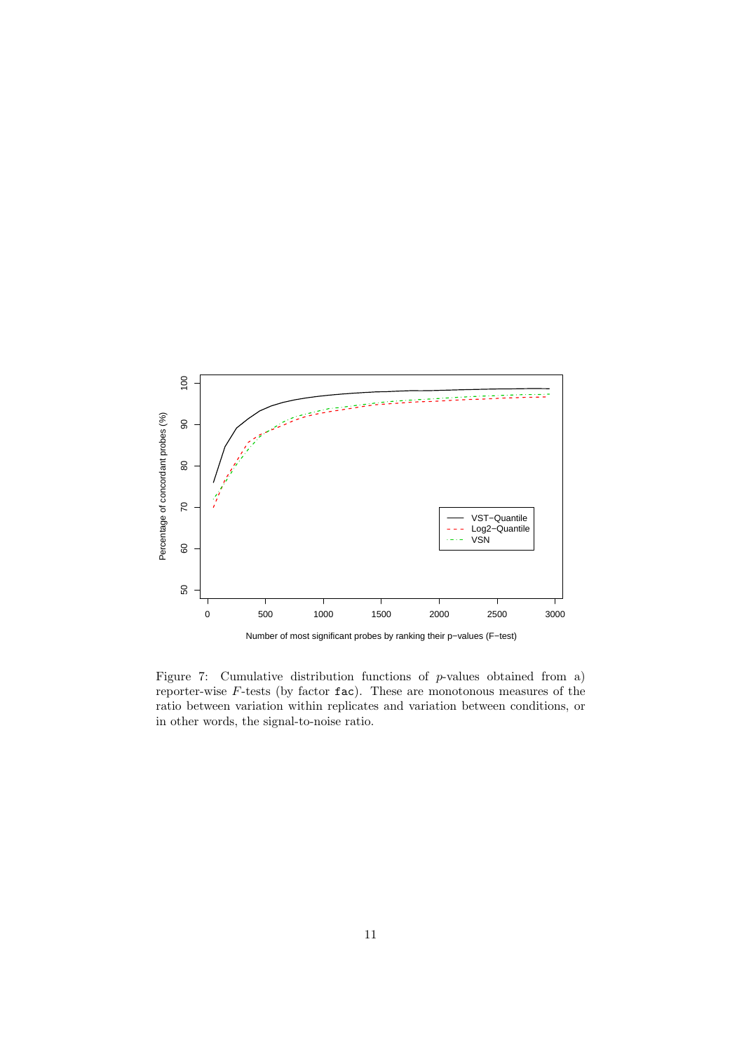

<span id="page-10-0"></span>Figure 7: Cumulative distribution functions of p-values obtained from a) reporter-wise  $F$ -tests (by factor  $fac$ ). These are monotonous measures of the ratio between variation within replicates and variation between conditions, or in other words, the signal-to-noise ratio.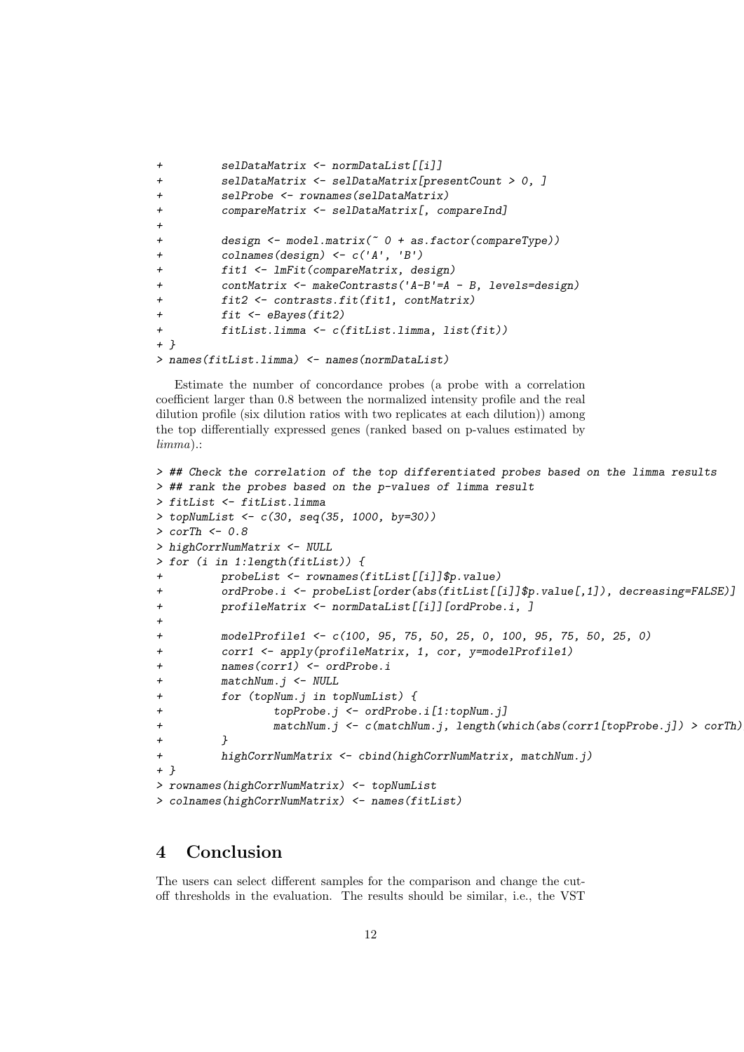```
+ selDataMatrix <- normDataList[[i]]
+ selDataMatrix <- selDataMatrix[presentCount > 0, ]
+ selProbe <- rownames(selDataMatrix)
+ compareMatrix <- selDataMatrix[, compareInd]
+
+ design <- model.matrix(~ 0 + as.factor(compareType))
+ colnames(design) <- c('A', 'B')
+ fit1 <- lmFit(compareMatrix, design)
+ contMatrix <- makeContrasts('A-B'=A - B, levels=design)
+ fit2 <- contrasts.fit(fit1, contMatrix)
+ fit <- eBayes(fit2)
+ fitList.limma <- c(fitList.limma, list(fit))
+ }
> names(fitList.limma) <- names(normDataList)
```
Estimate the number of concordance probes (a probe with a correlation coefficient larger than 0.8 between the normalized intensity profile and the real dilution profile (six dilution ratios with two replicates at each dilution)) among the top differentially expressed genes (ranked based on p-values estimated by limma).:

```
> ## Check the correlation of the top differentiated probes based on the limma results
> ## rank the probes based on the p-values of limma result
> fitList <- fitList.limma
> topNumList <- c(30, seq(35, 1000, by=30))
> corTh <-0.8> highCorrNumMatrix <- NULL
> for (i in 1:length(fitList)) {
+ probeList <- rownames(fitList[[i]]$p.value)
+ ordProbe.i <- probeList[order(abs(fitList[[i]]$p.value[,1]), decreasing=FALSE)]
+ profileMatrix <- normDataList[[i]][ordProbe.i, ]
+
+ modelProfile1 <- c(100, 95, 75, 50, 25, 0, 100, 95, 75, 50, 25, 0)
+ corr1 <- apply(profileMatrix, 1, cor, y=modelProfile1)
+ names(corr1) <- ordProbe.i
+ matchNum.j <- NULL
+ for (topNum.j in topNumList) {
+ topProbe.j <- ordProbe.i[1:topNum.j]
+ matchNum.j <- c(matchNum.j, length(which(abs(corr1[topProbe.j]) > corTh)))
+ }
+ highCorrNumMatrix <- cbind(highCorrNumMatrix, matchNum.j)
+ }
> rownames(highCorrNumMatrix) <- topNumList
> colnames(highCorrNumMatrix) <- names(fitList)
```
### <span id="page-11-0"></span>4 Conclusion

The users can select different samples for the comparison and change the cutoff thresholds in the evaluation. The results should be similar, i.e., the VST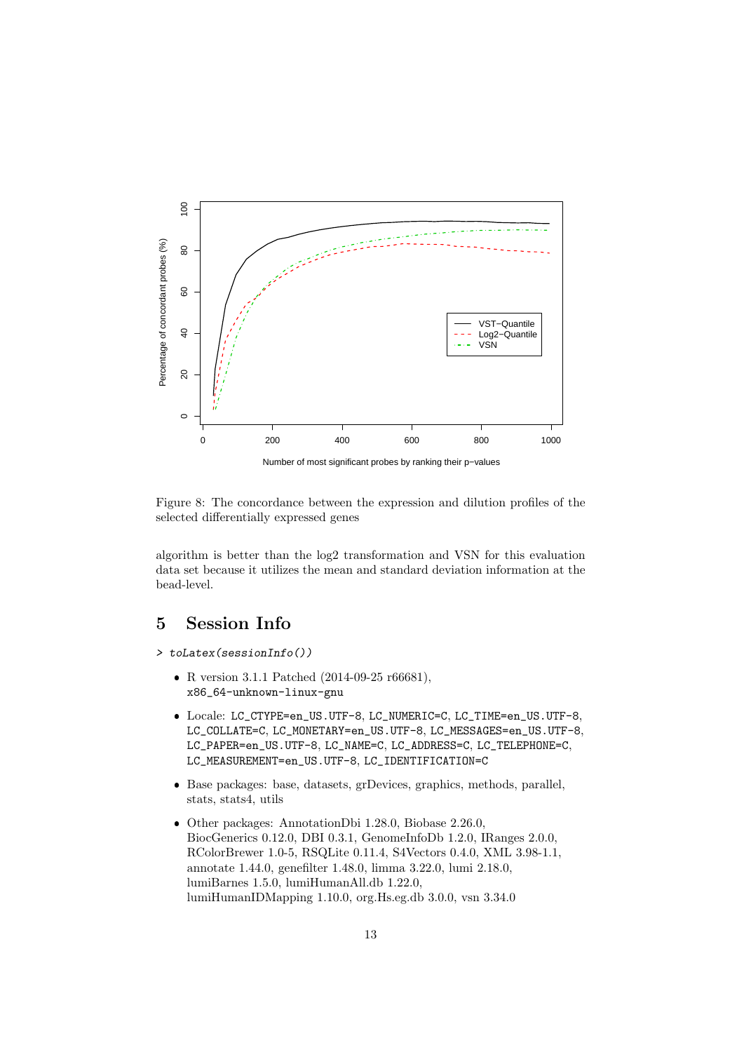

<span id="page-12-1"></span>Figure 8: The concordance between the expression and dilution profiles of the selected differentially expressed genes

algorithm is better than the log2 transformation and VSN for this evaluation data set because it utilizes the mean and standard deviation information at the bead-level.

## <span id="page-12-0"></span>5 Session Info

- > toLatex(sessionInfo())
	- R version 3.1.1 Patched (2014-09-25 r66681), x86\_64-unknown-linux-gnu
	- Locale: LC\_CTYPE=en\_US.UTF-8, LC\_NUMERIC=C, LC\_TIME=en\_US.UTF-8, LC\_COLLATE=C, LC\_MONETARY=en\_US.UTF-8, LC\_MESSAGES=en\_US.UTF-8, LC\_PAPER=en\_US.UTF-8, LC\_NAME=C, LC\_ADDRESS=C, LC\_TELEPHONE=C, LC\_MEASUREMENT=en\_US.UTF-8, LC\_IDENTIFICATION=C
	- Base packages: base, datasets, grDevices, graphics, methods, parallel, stats, stats4, utils
	- Other packages: AnnotationDbi 1.28.0, Biobase 2.26.0, BiocGenerics 0.12.0, DBI 0.3.1, GenomeInfoDb 1.2.0, IRanges 2.0.0, RColorBrewer 1.0-5, RSQLite 0.11.4, S4Vectors 0.4.0, XML 3.98-1.1, annotate 1.44.0, genefilter 1.48.0, limma 3.22.0, lumi 2.18.0, lumiBarnes 1.5.0, lumiHumanAll.db 1.22.0, lumiHumanIDMapping 1.10.0, org.Hs.eg.db 3.0.0, vsn 3.34.0